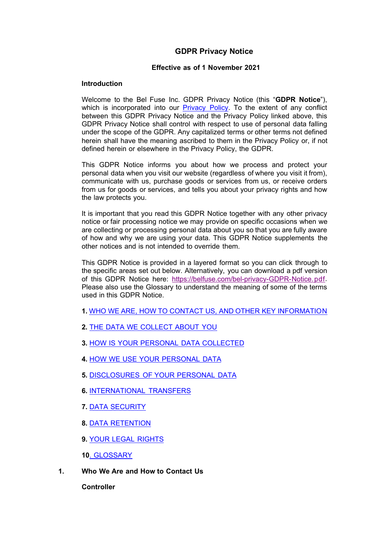# **GDPR Privacy Notice**

## **Effective as of 1 November 2021**

## **Introduction**

Welcome to the Bel Fuse Inc. GDPR Privacy Notice (this "**GDPR Notice**"), which is incorporated into our **Privacy Policy**. To the extent of any conflict between this GDPR Privacy Notice and the Privacy Policy linked above, this GDPR Privacy Notice shall control with respect to use of personal data falling under the scope of the GDPR. Any capitalized terms or other terms not defined herein shall have the meaning ascribed to them in the Privacy Policy or, if not defined herein or elsewhere in the Privacy Policy, the GDPR.

This GDPR Notice informs you about how we process and protect your personal data when you visit our website (regardless of where you visit it from), communicate with us, purchase goods or services from us, or receive orders from us for goods or services, and tells you about your privacy rights and how the law protects you.

It is important that you read this GDPR Notice together with any other privacy notice or fair processing notice we may provide on specific occasions when we are collecting or processing personal data about you so that you are fully aware of how and why we are using your data. This GDPR Notice supplements the other notices and is not intended to override them.

This GDPR Notice is provided in a layered format so you can click through to the specific areas set out below. Alternatively, you can download a pdf version of this GDPR Notice here: [https://belfuse.com/bel-privacy-GDPR-Notice.pdf.](https://belfuse.com/bel-privacy-GDPR-Notice.pdf) Please also use the Glossary to understand the meaning of some of the terms used in this GDPR Notice.

- **1.** WHO WE ARE, HOW TO CONTACT US, AND OTHER KEY INFORMATION
- **2.** [THE DATA WE COLLECT ABOUT YOU](#page-3-0)
- **3.** [HOW IS YOUR PERSONAL DATA COLLECTED](#page-4-0)
- **4.** [HOW WE USE YOUR PERSONAL DATA](#page-5-0)
- **5.** [DISCLOSURES OF YOUR PERSONAL DATA](#page-8-0)
- **6.** [INTERNATIONAL TRANSFERS](#page-8-1)
- **7.** [DATA SECURITY](#page-9-0)
- **8.** [DATA RETENTION](#page-9-1)
- **9.** [YOUR LEGAL RIGHTS](#page-10-0)

**10**[. GLOSSARY](#page-11-0)

**1. Who We Are and How to Contact Us**

**Controller**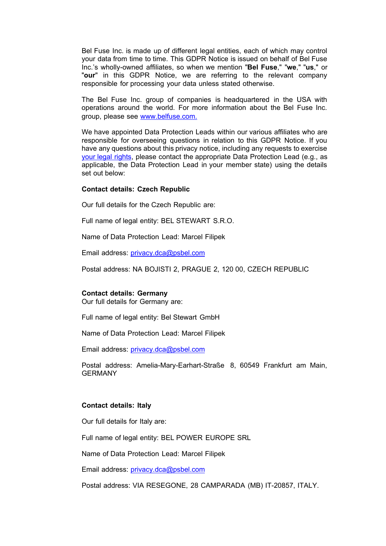Bel Fuse Inc. is made up of different legal entities, each of which may control your data from time to time. This GDPR Notice is issued on behalf of Bel Fuse Inc.'s wholly-owned affiliates, so when we mention "**Bel Fuse**," "**we**," "**us**," or "**our**" in this GDPR Notice, we are referring to the relevant company responsible for processing your data unless stated otherwise.

The Bel Fuse Inc. group of companies is headquartered in the USA with operations around the world. For more information about the Bel Fuse Inc. group, please see [www.belfuse.com.](http://www.belfuse.com/)

We have appointed Data Protection Leads within our various affiliates who are responsible for overseeing questions in relation to this GDPR Notice. If you have any questions about this privacy notice, including any requests to exercise [your legal rights,](#page-11-1) please contact the appropriate Data Protection Lead (e.g., as applicable, the Data Protection Lead in your member state) using the details set out below:

#### **Contact details: Czech Republic**

Our full details for the Czech Republic are:

Full name of legal entity: BEL STEWART S.R.O.

Name of Data Protection Lead: Marcel Filipek

Email address: [privacy.dca@psbel.com](mailto:privacy.dca@psbel.com)

Postal address: NA BOJISTI 2, PRAGUE 2, 120 00, CZECH REPUBLIC

#### **Contact details: Germany**

Our full details for Germany are:

Full name of legal entity: Bel Stewart GmbH

Name of Data Protection Lead: Marcel Filipek

Email address: [privacy.dca@psbel.com](mailto:privacy.dca@psbel.com)

Postal address: Amelia-Mary-Earhart-Straße 8, 60549 Frankfurt am Main, GERMANY

#### **Contact details: Italy**

Our full details for Italy are:

Full name of legal entity: BEL POWER EUROPE SRL

Name of Data Protection Lead: Marcel Filipek

Email address: [privacy.dca@psbel.com](mailto:privacy.dca@psbel.com)

Postal address: VIA RESEGONE, 28 CAMPARADA (MB) IT-20857, ITALY.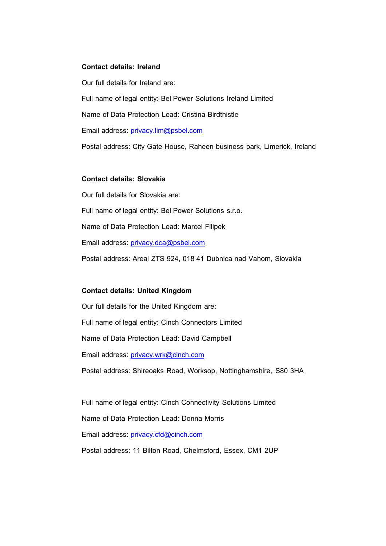### **Contact details: Ireland**

Our full details for Ireland are: Full name of legal entity: Bel Power Solutions Ireland Limited Name of Data Protection Lead: Cristina Birdthistle Email address: [privacy.lim@psbel.com](mailto:privacy.lim@psbel.com) Postal address: City Gate House, Raheen business park, Limerick, Ireland

### **Contact details: Slovakia**

Our full details for Slovakia are: Full name of legal entity: Bel Power Solutions s.r.o. Name of Data Protection Lead: Marcel Filipek Email address: [privacy.dca@psbel.com](mailto:privacy.dca@psbel.com) Postal address: Areal ZTS 924, 018 41 Dubnica nad Vahom, Slovakia

### **Contact details: United Kingdom**

Our full details for the United Kingdom are: Full name of legal entity: Cinch Connectors Limited Name of Data Protection Lead: David Campbell Email address: [privacy.wrk@cinch.com](mailto:privacy.wrk@cinch.com)

Postal address: Shireoaks Road, Worksop, Nottinghamshire, S80 3HA

Full name of legal entity: Cinch Connectivity Solutions Limited Name of Data Protection Lead: Donna Morris Email address: [privacy.cfd@cinch.com](mailto:privacy.cfd@cinch.com)

Postal address: 11 Bilton Road, Chelmsford, Essex, CM1 2UP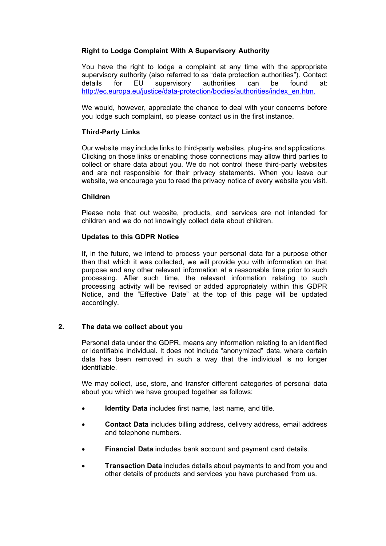# **Right to Lodge Complaint With A Supervisory Authority**

You have the right to lodge a complaint at any time with the appropriate supervisory authority (also referred to as "data protection authorities"). Contact details for EU supervisory authorities can be found at: [http://ec.europa.eu/justice/data-protection/bodies/authorities/index\\_en.htm.](http://ec.europa.eu/justice/data-protection/bodies/authorities/index_en.htm)

We would, however, appreciate the chance to deal with your concerns before you lodge such complaint, so please contact us in the first instance.

# **Third-Party Links**

Our website may include links to third-party websites, plug-ins and applications. Clicking on those links or enabling those connections may allow third parties to collect or share data about you. We do not control these third-party websites and are not responsible for their privacy statements. When you leave our website, we encourage you to read the privacy notice of every website you visit.

## **Children**

Please note that out website, products, and services are not intended for children and we do not knowingly collect data about children.

## **Updates to this GDPR Notice**

If, in the future, we intend to process your personal data for a purpose other than that which it was collected, we will provide you with information on that purpose and any other relevant information at a reasonable time prior to such processing. After such time, the relevant information relating to such processing activity will be revised or added appropriately within this GDPR Notice, and the "Effective Date" at the top of this page will be updated accordingly.

# <span id="page-3-0"></span>**2. The data we collect about you**

Personal data under the GDPR, means any information relating to an identified or identifiable individual. It does not include "anonymized" data, where certain data has been removed in such a way that the individual is no longer identifiable.

We may collect, use, store, and transfer different categories of personal data about you which we have grouped together as follows:

- **Identity Data** includes first name, last name, and title.
- **Contact Data** includes billing address, delivery address, email address and telephone numbers.
- **Financial Data** includes bank account and payment card details.
- **Transaction Data** includes details about payments to and from you and other details of products and services you have purchased from us.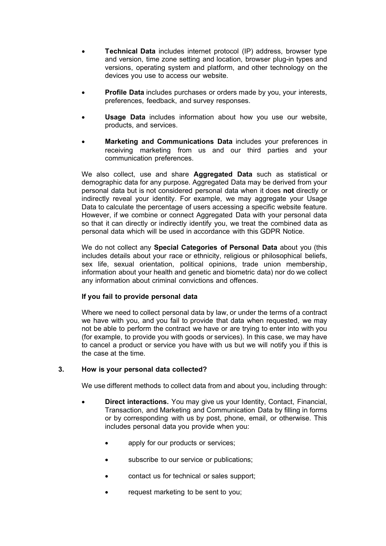- **Technical Data** includes internet protocol (IP) address, browser type and version, time zone setting and location, browser plug-in types and versions, operating system and platform, and other technology on the devices you use to access our website.
- **Profile Data** includes purchases or orders made by you, your interests, preferences, feedback, and survey responses.
- **Usage Data** includes information about how you use our website, products, and services.
- **Marketing and Communications Data** includes your preferences in receiving marketing from us and our third parties and your communication preferences.

We also collect, use and share **Aggregated Data** such as statistical or demographic data for any purpose. Aggregated Data may be derived from your personal data but is not considered personal data when it does **not** directly or indirectly reveal your identity. For example, we may aggregate your Usage Data to calculate the percentage of users accessing a specific website feature. However, if we combine or connect Aggregated Data with your personal data so that it can directly or indirectly identify you, we treat the combined data as personal data which will be used in accordance with this GDPR Notice.

We do not collect any **Special Categories of Personal Data** about you (this includes details about your race or ethnicity, religious or philosophical beliefs, sex life, sexual orientation, political opinions, trade union membership, information about your health and genetic and biometric data) nor do we collect any information about criminal convictions and offences.

# **If you fail to provide personal data**

Where we need to collect personal data by law, or under the terms of a contract we have with you, and you fail to provide that data when requested, we may not be able to perform the contract we have or are trying to enter into with you (for example, to provide you with goods or services). In this case, we may have to cancel a product or service you have with us but we will notify you if this is the case at the time.

### <span id="page-4-0"></span>**3. How is your personal data collected?**

We use different methods to collect data from and about you, including through:

- **Direct interactions.** You may give us your Identity, Contact, Financial, Transaction, and Marketing and Communication Data by filling in forms or by corresponding with us by post, phone, email, or otherwise. This includes personal data you provide when you:
	- apply for our products or services;
	- subscribe to our service or publications;
	- contact us for technical or sales support;
	- request marketing to be sent to you;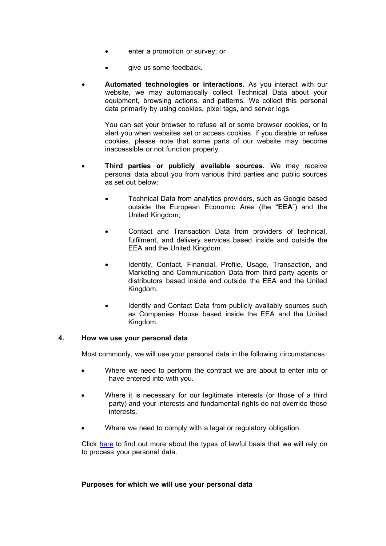- enter a promotion or survey; or
- give us some feedback.
- **Automated technologies or interactions.** As you interact with our website, we may automatically collect Technical Data about your equipment, browsing actions, and patterns. We collect this personal data primarily by using cookies, pixel tags, and server logs.

You can set your browser to refuse all or some browser cookies, or to alert you when websites set or access cookies. If you disable or refuse cookies, please note that some parts of our website may become inaccessible or not function properly.

- **Third parties or publicly available sources.** We may receive personal data about you from various third parties and public sources as set out below:
	- Technical Data from analytics providers, such as Google based outside the European Economic Area (the "**EEA**") and the United Kingdom;
	- Contact and Transaction Data from providers of technical, fulfilment, and delivery services based inside and outside the EEA and the United Kingdom.
	- Identity, Contact, Financial, Profile, Usage, Transaction, and Marketing and Communication Data from third party agents or distributors based inside and outside the EEA and the United Kingdom.
	- Identity and Contact Data from publicly availably sources such as Companies House based inside the EEA and the United Kingdom.

### <span id="page-5-0"></span>**4. How we use your personal data**

Most commonly, we will use your personal data in the following circumstances:

- Where we need to perform the contract we are about to enter into or have entered into with you.
- Where it is necessary for our legitimate interests (or those of a third party) and your interests and fundamental rights do not override those interests.
- Where we need to comply with a legal or regulatory obligation.

Click [here](#page-11-1) to find out more about the types of lawful basis that we will rely on to process your personal data.

### **Purposes for which we will use your personal data**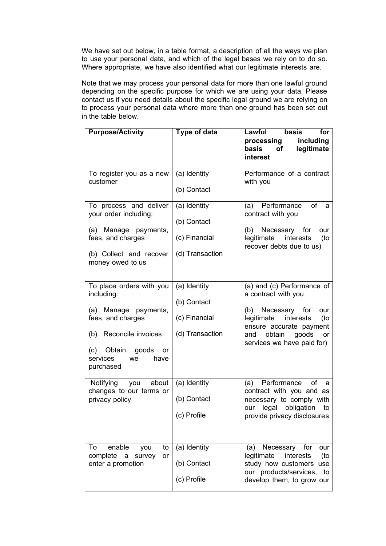We have set out below, in a table format, a description of all the ways we plan to use your personal data, and which of the legal bases we rely on to do so. Where appropriate, we have also identified what our legitimate interests are.

Note that we may process your personal data for more than one lawful ground depending on the specific purpose for which we are using your data. Please contact us if you need details about the specific legal ground we are relying on to process your personal data where more than one ground has been set out in the table below.

| <b>Purpose/Activity</b>                                                                                                                                                              | Type of data                                                    | Lawful<br>basis<br>for<br>including<br>processing<br>basis<br>legitimate<br>of<br>interest                                                                                                            |
|--------------------------------------------------------------------------------------------------------------------------------------------------------------------------------------|-----------------------------------------------------------------|-------------------------------------------------------------------------------------------------------------------------------------------------------------------------------------------------------|
| To register you as a new<br>customer                                                                                                                                                 | (a) Identity<br>(b) Contact                                     | Performance of a contract<br>with you                                                                                                                                                                 |
| To process and deliver<br>your order including:<br>(a) Manage payments,<br>fees, and charges<br>(b) Collect and recover<br>money owed to us                                          | (a) Identity<br>(b) Contact<br>(c) Financial<br>(d) Transaction | Performance<br>of<br>(a)<br>а<br>contract with you<br>(b) Necessary for<br>our<br>legitimate<br>interests<br>(to<br>recover debts due to us)                                                          |
| To place orders with you<br>including:<br>(a) Manage payments,<br>fees, and charges<br>(b) Reconcile invoices<br>(c)<br>Obtain<br>goods<br>or<br>services<br>we<br>have<br>purchased | (a) Identity<br>(b) Contact<br>(c) Financial<br>(d) Transaction | (a) and (c) Performance of<br>a contract with you<br>(b) Necessary for<br>our<br>legitimate interests<br>(to<br>ensure accurate payment<br>goods<br>obtain<br>and<br>or<br>services we have paid for) |
| Notifying you<br>about<br>changes to our terms or<br>privacy policy                                                                                                                  | (a) Identity<br>(b) Contact<br>(c) Profile                      | (a) Performance<br>of<br>a<br>contract with you and as<br>necessary to comply with<br>legal<br>obligation<br>our<br>to<br>provide privacy disclosures                                                 |
| enable<br>To<br>you<br>to<br>complete<br>survey<br>a<br>or<br>enter a promotion                                                                                                      | (a) Identity<br>(b) Contact<br>(c) Profile                      | Necessary<br>for<br>(a)<br>our<br>interests<br>legitimate<br>(to<br>study how customers use<br>our products/services,<br>to<br>develop them, to grow our                                              |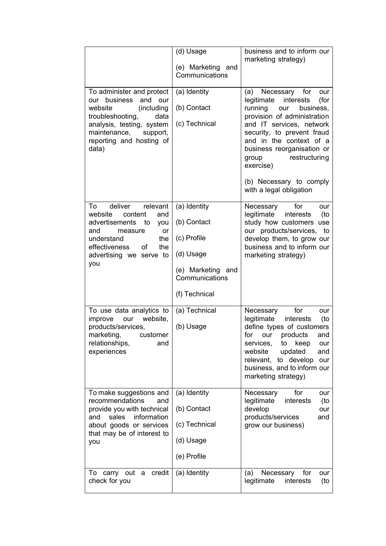|                                                                                                                                                                                                            | (d) Usage                                                                                                       | business and to inform our<br>marketing strategy)                                                                                                                                                                                                                                                                                         |
|------------------------------------------------------------------------------------------------------------------------------------------------------------------------------------------------------------|-----------------------------------------------------------------------------------------------------------------|-------------------------------------------------------------------------------------------------------------------------------------------------------------------------------------------------------------------------------------------------------------------------------------------------------------------------------------------|
|                                                                                                                                                                                                            | (e) Marketing<br>and<br>Communications                                                                          |                                                                                                                                                                                                                                                                                                                                           |
| To administer and protect<br>our business<br>and<br>our<br>(including<br>website<br>troubleshooting,<br>data<br>analysis, testing, system<br>maintenance,<br>support,<br>reporting and hosting of<br>data) | (a) Identity<br>(b) Contact<br>(c) Technical                                                                    | (a) Necessary for<br>our<br>legitimate<br>interests<br>(for<br>running<br>business,<br>our<br>provision of administration<br>and IT services, network<br>security, to prevent fraud<br>and in the context of a<br>business reorganisation or<br>restructuring<br>group<br>exercise)<br>(b) Necessary to comply<br>with a legal obligation |
| deliver relevant<br>To<br>website<br>content<br>and<br>advertisements<br>to<br>you<br>and<br>measure<br>or<br>understand<br>the<br>effectiveness<br>οf<br>the<br>advertising we serve to<br>you            | (a) Identity<br>(b) Contact<br>(c) Profile<br>(d) Usage<br>(e) Marketing and<br>Communications<br>(f) Technical | for<br>Necessary<br>our<br>legitimate<br>(to<br>interests<br>study how customers use<br>our products/services, to<br>develop them, to grow our<br>business and to inform our<br>marketing strategy)                                                                                                                                       |
| To use data analytics to<br>website,<br>improve<br>our<br>products/services,<br>marketing,<br>customer<br>relationships,<br>and<br>experiences                                                             | (a) Technical<br>(b) Usage                                                                                      | for<br>Necessary<br>our<br>legitimate<br>(to<br>interests<br>define types of customers<br>for<br>products<br>our<br>and<br>services,<br>to<br>keep<br>our<br>website<br>updated<br>and<br>to develop<br>relevant,<br>our<br>business, and to inform our<br>marketing strategy)                                                            |
| To make suggestions and<br>recommendations<br>and<br>provide you with technical<br>information<br>sales<br>and<br>about goods or services<br>that may be of interest to<br>you                             | (a) Identity<br>(b) Contact<br>(c) Technical<br>(d) Usage<br>(e) Profile                                        | Necessary<br>for<br>our<br>legitimate<br>interests<br>(to<br>develop<br>our<br>products/services<br>and<br>grow our business)                                                                                                                                                                                                             |
| credit<br>To<br>carry out<br>a<br>check for you                                                                                                                                                            | (a) Identity                                                                                                    | Necessary<br>(a)<br>for<br>our<br>legitimate<br>interests<br>(to                                                                                                                                                                                                                                                                          |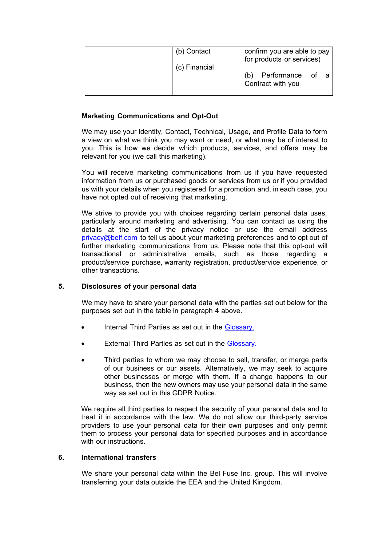| (b) Contact   | confirm you are able to pay<br>for products or services) |
|---------------|----------------------------------------------------------|
| (c) Financial | Performance of a                                         |
|               | Contract with you                                        |

# **Marketing Communications and Opt-Out**

We may use your Identity, Contact, Technical, Usage, and Profile Data to form a view on what we think you may want or need, or what may be of interest to you. This is how we decide which products, services, and offers may be relevant for you (we call this marketing).

You will receive marketing communications from us if you have requested information from us or purchased goods or services from us or if you provided us with your details when you registered for a promotion and, in each case, you have not opted out of receiving that marketing.

We strive to provide you with choices regarding certain personal data uses, particularly around marketing and advertising. You can contact us using the details at the start of the privacy notice or use the email address [privacy@belf.com](mailto:privacy@belf.com) to tell us about your marketing preferences and to opt out of further marketing communications from us. Please note that this opt-out will transactional or administrative emails, such as those regarding a product/service purchase, warranty registration, product/service experience, or other transactions.

# <span id="page-8-0"></span>**5. Disclosures of your personal data**

We may have to share your personal data with the parties set out below for the purposes set out in the table in paragraph 4 above.

- Internal Third Parties as set out in the [Glossary.](#page-11-0)
- External Third Parties as set out in the [Glossary.](#page-11-0)
- Third parties to whom we may choose to sell, transfer, or merge parts of our business or our assets. Alternatively, we may seek to acquire other businesses or merge with them. If a change happens to our business, then the new owners may use your personal data in the same way as set out in this GDPR Notice.

We require all third parties to respect the security of your personal data and to treat it in accordance with the law. We do not allow our third-party service providers to use your personal data for their own purposes and only permit them to process your personal data for specified purposes and in accordance with our instructions.

# <span id="page-8-1"></span>**6. International transfers**

We share your personal data within the Bel Fuse Inc. group. This will involve transferring your data outside the EEA and the United Kingdom.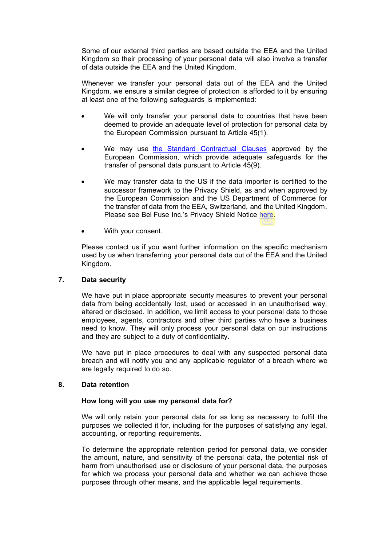Some of our external third parties are based outside the EEA and the United Kingdom so their processing of your personal data will also involve a transfer of data outside the EEA and the United Kingdom.

Whenever we transfer your personal data out of the EEA and the United Kingdom, we ensure a similar degree of protection is afforded to it by ensuring at least one of the following safeguards is implemented:

- We will only transfer your personal data to countries that have been deemed to provide an adequate level of protection for personal data by the European Commission pursuant to Article 45(1).
- We may use [the Standard Contractual Clauses](https://ec.europa.eu/info/law/law-topic/data-protection/data-transfers-outside-eu/model-contracts-transfer-personal-data-third-countries_en) approved by the European Commission, which provide adequate safeguards for the transfer of personal data pursuant to Article 45(9).
- We may transfer data to the US if the data importer is certified to the successor framework to the Privacy Shield, as and when approved by the European Commission and the US Department of Commerce for the transfer of data from the EEA, Switzerland, and the United Kingdom. Please see Bel Fuse Inc.'s Privacy Shield Notice [here.](https://belfuse.com/home/privacy-statement)
- With your consent.

Please contact us if you want further information on the specific mechanism used by us when transferring your personal data out of the EEA and the United Kingdom.

### <span id="page-9-0"></span>**7. Data security**

We have put in place appropriate security measures to prevent your personal data from being accidentally lost, used or accessed in an unauthorised way, altered or disclosed. In addition, we limit access to your personal data to those employees, agents, contractors and other third parties who have a business need to know. They will only process your personal data on our instructions and they are subject to a duty of confidentiality.

We have put in place procedures to deal with any suspected personal data breach and will notify you and any applicable regulator of a breach where we are legally required to do so.

### <span id="page-9-1"></span>**8. Data retention**

# **How long will you use my personal data for?**

We will only retain your personal data for as long as necessary to fulfil the purposes we collected it for, including for the purposes of satisfying any legal, accounting, or reporting requirements.

To determine the appropriate retention period for personal data, we consider the amount, nature, and sensitivity of the personal data, the potential risk of harm from unauthorised use or disclosure of your personal data, the purposes for which we process your personal data and whether we can achieve those purposes through other means, and the applicable legal requirements.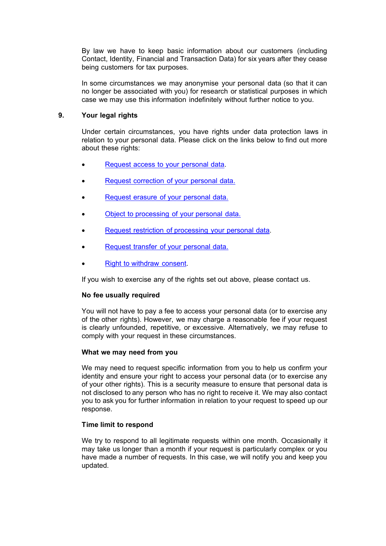By law we have to keep basic information about our customers (including Contact, Identity, Financial and Transaction Data) for six years after they cease being customers for tax purposes.

In some circumstances we may anonymise your personal data (so that it can no longer be associated with you) for research or statistical purposes in which case we may use this information indefinitely without further notice to you.

## <span id="page-10-0"></span>**9. Your legal rights**

Under certain circumstances, you have rights under data protection laws in relation to your personal data. Please click on the links below to find out more about these rights:

- [Request access to your personal data.](#page-12-0)
- [Request correction of your personal data.](#page-12-1)
- [Request erasure of your personal data.](#page-12-2)
- [Object to processing of your personal data.](#page-12-3)
- [Request restriction of processing your personal data.](#page-12-4)
- [Request transfer of your personal data.](#page-12-5)
- [Right to withdraw consent.](#page-12-6)

If you wish to exercise any of the rights set out above, please contact us.

### **No fee usually required**

You will not have to pay a fee to access your personal data (or to exercise any of the other rights). However, we may charge a reasonable fee if your request is clearly unfounded, repetitive, or excessive. Alternatively, we may refuse to comply with your request in these circumstances.

### **What we may need from you**

We may need to request specific information from you to help us confirm your identity and ensure your right to access your personal data (or to exercise any of your other rights). This is a security measure to ensure that personal data is not disclosed to any person who has no right to receive it. We may also contact you to ask you for further information in relation to your request to speed up our response.

### **Time limit to respond**

We try to respond to all legitimate requests within one month. Occasionally it may take us longer than a month if your request is particularly complex or you have made a number of requests. In this case, we will notify you and keep you updated.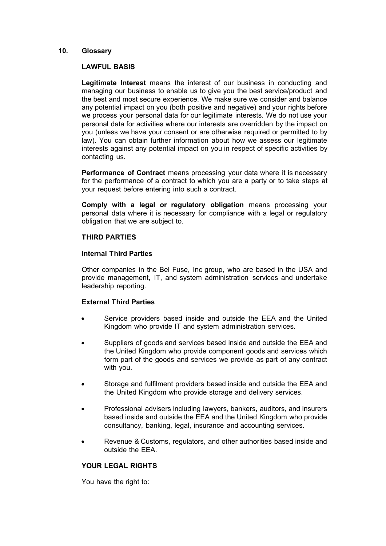### <span id="page-11-0"></span>**10. Glossary**

### **LAWFUL BASIS**

**Legitimate Interest** means the interest of our business in conducting and managing our business to enable us to give you the best service/product and the best and most secure experience. We make sure we consider and balance any potential impact on you (both positive and negative) and your rights before we process your personal data for our legitimate interests. We do not use your personal data for activities where our interests are overridden by the impact on you (unless we have your consent or are otherwise required or permitted to by law). You can obtain further information about how we assess our legitimate interests against any potential impact on you in respect of specific activities by contacting us.

**Performance of Contract** means processing your data where it is necessary for the performance of a contract to which you are a party or to take steps at your request before entering into such a contract.

**Comply with a legal or regulatory obligation** means processing your personal data where it is necessary for compliance with a legal or regulatory obligation that we are subject to.

## **THIRD PARTIES**

### **Internal Third Parties**

Other companies in the Bel Fuse, Inc group, who are based in the USA and provide management, IT, and system administration services and undertake leadership reporting.

### **External Third Parties**

- Service providers based inside and outside the EEA and the United Kingdom who provide IT and system administration services.
- Suppliers of goods and services based inside and outside the EEA and the United Kingdom who provide component goods and services which form part of the goods and services we provide as part of any contract with you.
- Storage and fulfilment providers based inside and outside the EEA and the United Kingdom who provide storage and delivery services.
- Professional advisers including lawyers, bankers, auditors, and insurers based inside and outside the EEA and the United Kingdom who provide consultancy, banking, legal, insurance and accounting services.
- Revenue & Customs, regulators, and other authorities based inside and outside the EEA.

# **YOUR LEGAL RIGHTS**

<span id="page-11-1"></span>You have the right to: